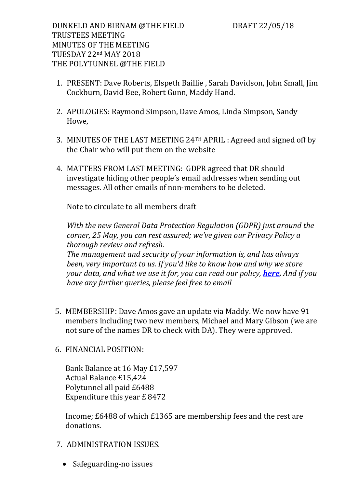DUNKELD AND BIRNAM @THE FIELD DRAFT 22/05/18 TRUSTEES MEETING MINUTES OF THE MEETING TUESDAY 22nd MAY 2018 THE POLYTUNNEL @THE FIELD

- 1. PRESENT: Dave Roberts, Elspeth Baillie , Sarah Davidson, John Small, Jim Cockburn, David Bee, Robert Gunn, Maddy Hand.
- 2. APOLOGIES: Raymond Simpson, Dave Amos, Linda Simpson, Sandy Howe,
- 3. MINUTES OF THE LAST MEETING 24TH APRIL : Agreed and signed off by the Chair who will put them on the website
- 4. MATTERS FROM LAST MEETING: GDPR agreed that DR should investigate hiding other people's email addresses when sending out messages. All other emails of non-members to be deleted.

Note to circulate to all members draft

*With the new General Data Protection Regulation (GDPR) just around the corner, 25 May, you can rest assured; we've given our Privacy Policy a thorough review and refresh. The management and security of your information is, and has always been, very important to us. If you'd like to know how and why we store your data, and what we use it for, you can read our policy, [here.](http://email.wordfly.com/click?sid=MzIxXzIxNDNfMTU4Nl82OTI1&l=304cb938-f359-e811-8416-e41f1345a486&utm_source=wordfly&utm_medium=email&utm_campaign=2018Seasonopening&utm_content=version_A) And if you have any further queries, please feel free to email*

- 5. MEMBERSHIP: Dave Amos gave an update via Maddy. We now have 91 members including two new members, Michael and Mary Gibson (we are not sure of the names DR to check with DA). They were approved.
- 6. FINANCIAL POSITION:

Bank Balance at 16 May £17,597 Actual Balance £15,424 Polytunnel all paid £6488 Expenditure this year £ 8472

Income; £6488 of which £1365 are membership fees and the rest are donations.

- 7. ADMINISTRATION ISSUES.
	- Safeguarding-no issues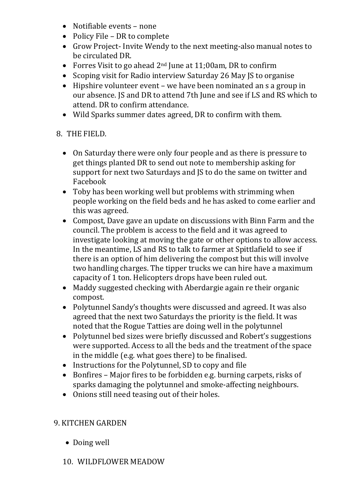- Notifiable events none
- Policy File DR to complete
- Grow Project- Invite Wendy to the next meeting-also manual notes to be circulated DR.
- Forres Visit to go ahead  $2<sup>nd</sup>$  June at 11;00am, DR to confirm
- Scoping visit for Radio interview Saturday 26 May JS to organise
- Hipshire volunteer event we have been nominated an s a group in our absence. JS and DR to attend 7th June and see if LS and RS which to attend. DR to confirm attendance.
- Wild Sparks summer dates agreed, DR to confirm with them.

## 8. THE FIELD.

- On Saturday there were only four people and as there is pressure to get things planted DR to send out note to membership asking for support for next two Saturdays and JS to do the same on twitter and Facebook
- Toby has been working well but problems with strimming when people working on the field beds and he has asked to come earlier and this was agreed.
- Compost, Dave gave an update on discussions with Binn Farm and the council. The problem is access to the field and it was agreed to investigate looking at moving the gate or other options to allow access. In the meantime, LS and RS to talk to farmer at Spittlafield to see if there is an option of him delivering the compost but this will involve two handling charges. The tipper trucks we can hire have a maximum capacity of 1 ton. Helicopters drops have been ruled out.
- Maddy suggested checking with Aberdargie again re their organic compost.
- Polytunnel Sandy's thoughts were discussed and agreed. It was also agreed that the next two Saturdays the priority is the field. It was noted that the Rogue Tatties are doing well in the polytunnel
- Polytunnel bed sizes were briefly discussed and Robert's suggestions were supported. Access to all the beds and the treatment of the space in the middle (e.g. what goes there) to be finalised.
- Instructions for the Polytunnel, SD to copy and file
- Bonfires Major fires to be forbidden e.g. burning carpets, risks of sparks damaging the polytunnel and smoke-affecting neighbours.
- Onions still need teasing out of their holes.

## 9. KITCHEN GARDEN

- Doing well
- 10. WILDFLOWER MEADOW